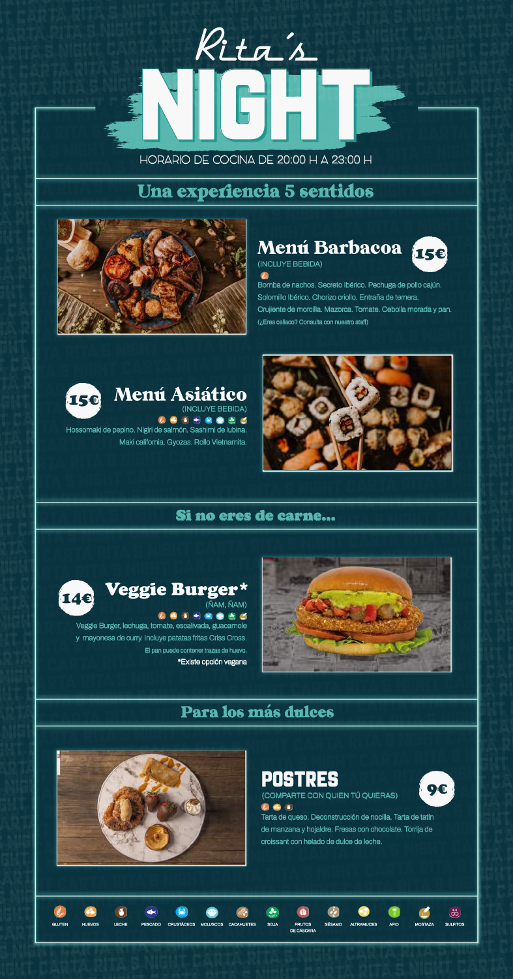#### HORARIO DE COCINA DE **20:00** H A **23:00** H NIGHT CARTA RITA**'**S NIGHT CARTA RITA**'**S NIGHT CARTA RITA**'**S NIGHT CARTA RITA**'**S NIGHT CARTA RITA**'**S NIGHT CARTA RITA<br>'S NIGHT CARTA RITAL CARTA RITAL CARTA RITAL CARTA RITAL CARTA RITAL CARTA RITAL CARTA RITAL CARTA RITAL CARTA R<br>'S NIGHT CARTA RITAL CARTA RITAL CARTA RITAL CARTA RITAL CARTA RITAL CARTA RITAL CARTA RITAL CARTA CARTA RITA**'**S NIGHT CARTA RITA**'**S NIGHT CARTA RITA**'**S NIGHT CARTA RITA**'**S NIGHT CARTA RITA**'**S NIGHT CARTA RITA<br>'S NIGHT CARTA RITAL CARTA RITAL CARTA RITAL CARTA RITAL CARTA RITAL CARTA RITAL CARTA RITAL CARTA RITAL CARTA R<br>'S NIGHT CARTA RITAL CARTA RITAL CARTA RITAL CARTA RITAL CARTA RITAL CARTA RITAL CARTA RITAL CARTA CARTA RITA<br>'S NIGHT CARTA RITAL CARTA RITAL CARTA RITAL CARTA RITAL CARTA RITAL CARTA RITAL CARTA RITAL CARTA RITAL CARTA RI<br>'S NIGHT CARTA RITAL CARTA RITAL CARTA RITAL CARTA RITAL CARTA RITAL CARTA RITAL CARTA RITAL CART

CARTA RITA**'**S NIGHT CARTA RITA**'**S NIGHT CARTA RITA**'**S NIGHT CARTA RITA**'**S NIGHT CARTA RITA**'**S NIGHT

CARTA RITA S NIGHT **CARTA RITA S NIGHT CARTA RITA S NIGHT CARTA RITA S NIGHT CARTA RITA S NIGHT CARTA RITA S NIG** 

CARTA RITA**'**S NIGHT CARTA RITA**'**S NIGHT CARTA RITA**'**S NIGHT CARTA RITA**'**S NIGHT CARTA RITA**'**S NIGHT

CARTA RITA**'**S NIGHT CARTA RITA**'**S NIGHT CARTA RITA**'**S NIGHT CARTA RITA**'**S NIGHT CARTA RITA**'**S NIGHT

CARTA RITA**'**S NIGHT CARTA RITA**'**S NIGHT CARTA RITA**'**S NIGHT CARTA RITA**'**S NIGHT CARTA RITA**'**S NIGHT

CARTA RITA**'**S NIGHT CARTA RITA**'**S NIGHT CARTA RITA**'**S NIGHT CARTA RITA**'**S NIGHT CARTA RITA**'**S NIGHT

CARTA RITA**'**S NIGHT CARTA RITA**'**S NIGHT CARTA RITA**'**S NIGHT CARTA RITA**'**S NIGHT CARTA RITA**'**S NIGHT

CARTA RITA**'**S NIGHT CARTA RITA**'**S NIGHT CARTA RITA**'**S NIGHT CARTA RITA**'**S NIGHT CARTA RITA**'**S NIGHT

CARTA RITA**'**S NIGHT CARTA RITA**'**S NIGHT CARTA RITA**'**S NIGHT CARTA RITA**'**S NIGHT CARTA RITA**'**S NIGHT

CARTA RITA**'**S NIGHT CARTA RITA**'**S NIGHT CARTA RITA**'**S NIGHT CARTA RITA**'**S NIGHT CARTA RITA**'**S NIGHT

CARTA RITA**'**S NIGHT CARTA RITA**'**S NIGHT CARTA RITA**'**S NIGHT CARTA RITA**'**S NIGHT CARTA RITA**'**S NIGHT

CARTA RITA**'**S NIGHT CARTA RITA**'**S NIGHT CARTA RITA**'**S NIGHT CARTA RITA**'**S NIGHT CARTA RITA**'**S NIGHT

CARTA RITA'S NIGHT CARTA RITA'S NIGHT CARTA RITA'S

CARTA RITA**'**S NIGHT CARTA RITA**'**S NIGHT CARTA RITA**'**S NIGHT CARTA RITA**'**S NIGHT CARTA RITA**'**S NIGHT

Una experiencia 5 sentidos CARTA RITA**'**S NIGHT CARTA RITA**'**S NIGHT CARTA RITA**'**S NIGHT CARTA RITA**'**S NIGHT CARTA RITA**'**S NIGHT CARTA RITAARIO DE COCINA DE 20:00 H A 23:00 H<br> **Una experiencia 5 sentidos CARTA RITA RITARYA RITARYA RITARY CARTA RITARY CARTA RITARY CARTA RITARY CARTA RITARY CARTA RITARY CARTA RITARY CARTA RITARY CARTA RITARY CARTA RITARY CARTA RITARY CARTA RITARY CARTA RITARY CARTA RITARY CARTA RITARY CARTA** 



# **(INCLUYE BEBIDA)**



**Solomillo Ibérico. Chorizo criollo. Entraña de ternera. Crujiente de morcilla. Mazorca. Tomate. Cebolla morada y pan. (¿Eres celiaco? Consulta con nuestro staff)** 



**Maki california. Gyozas. Rollo Vietnamita. (INCLUYE BEBIDA)** Menú Asiático



Si no eres de carne... CARTA RITA**'**S NIGHT CARTA RITA**'**S NIGHT CARTA RITA**'**S NIGHT CARTA RITA**'**S NIGHT CARTA RITA**'**S NIGHT CARTA RITA**'**S NIGHT CARTA RITA**'**S NIGHT CARTA RITA**'**S NIGHT CARTA RITA**'**S NIGHT CARTA RITA**'**S NIGHT CARTA RITA**'**S NIGHT CARTA RITA**'**S NIGHT CARTA RITA**'**S NIGHT CARTA RITA**'**S NIGHT CARTA RITA**'**S NIGHT CARTA RITA**'**S NIGHT CARTA RITA**'**S NIGHT CARTA RITA**'**S NIGHT CARTA RITA**'**S NIGHT CARTA RITA**'**S NIGHT





**Veggie Burger, lechuga, tomate, escalivada, guacamole y mayonesa de curry. Incluye patatas fritas Criss Cross. El pan puede contener trazas de huevo. \*Existe opción vegana**



#### Para los más dulces CARTA RITA**'**S NIGHT CARTA RITA**'**S NIGHT CARTA RITA**'**S NIGHT CARTA RITA**'**S NIGHT CARTA RITA**'**S NIGHT **CARTA RITARYA RITARYA RITARYA RITARY NIGHT CARTA RITARY NIGHT CARTA RITARY NIGHT CARTA RITARY NIGHT CARTA RITARY NIGHT CARTA RITARY NIGHT CARTA RITARY NIGHT CARTA RITARY NIGHT CARTA RITARY NIGHT CARTA RITARY NIGHT CARTA R** CARTA RITA**'**S NIGHT CARTA RITA**'**S NIGHT CARTA RITA**'**S NIGHT CARTA RITA**'**S NIGHT CARTA RITA**'**S NIGHT **CARTA RITAA'S NIGHT CARTA RITAA'S NIGHT CARTA RITAA'S NIGHT CARTA RITAA'S NIGHT CARTA RITAA'S NIGHT CARTA RITAA<br>SIMPLE CARTA RITAA'S NIGHT CARTA RITAA'S NIGHT CARTA RITAA'S NIGHT CARTA RITAA'S NIGHT CARTA RITAA'S NIGHT CA CARTA RITA<sup>I</sup>S NIGHT CARTA RITAAN RITAAN RITAAN DI SANIGHT CARTA RITAAN DI SANIGHT CARTA RITAAN DI SANIGHT CARTA RITAAN DI SANIGHT CARTA RITAAN DI SANIGHT CARTA RITAAN DI SANIGHT CARTA RITAAN DI SANIGHT CARTA RITAAN DI SA**



POSTRES **(COMPARTE CON QUIEN TÚ QUIERAS)**



**Tarta de queso. Deconstrucción de nocilla. Tarta de tatín de manzana y hojaldre. Fresas con chocolate. Torrija de croissant con helado de dulce de leche.**



CARTA RITA**'**S NIGHT CARTA RITA**'**S NIGHT CARTA RITA**'**S NIGHT CARTA RITA**'**S NIGHT CARTA RITA**'**S NIGHT